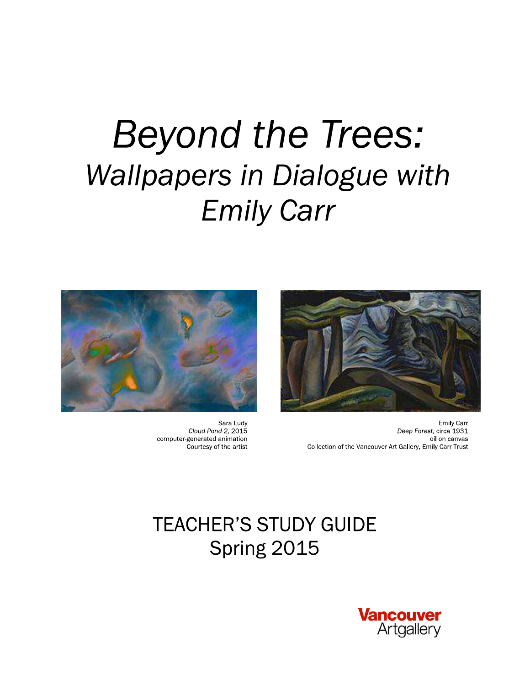# **Beyond the Trees: Wallpapers in Dialogue with Emily Carr**



**Emily Carr** Deep Forest, circa 1931 oil on canvas Collection of the Vancouver Art Gallery, Emily Carr Trust



Sara Ludy Cloud Pond 2, 2015 computer-generated animation Courtesy of the artist

# **TEACHER'S STUDY GUIDE** Spring 2015

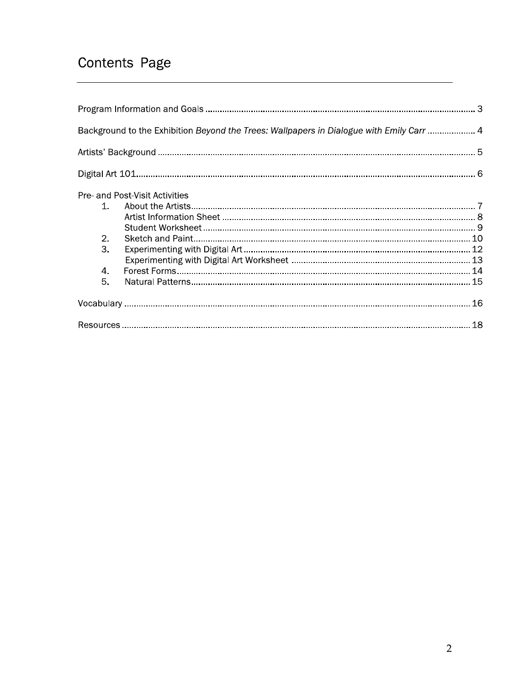### Contents Page

| Background to the Exhibition Beyond the Trees: Wallpapers in Dialogue with Emily Carr  4 |                                |  |  |  |  |
|------------------------------------------------------------------------------------------|--------------------------------|--|--|--|--|
|                                                                                          |                                |  |  |  |  |
|                                                                                          |                                |  |  |  |  |
| $\sim$<br>2.<br>3.<br>4.<br>5.                                                           | Pre- and Post-Visit Activities |  |  |  |  |
|                                                                                          |                                |  |  |  |  |
|                                                                                          |                                |  |  |  |  |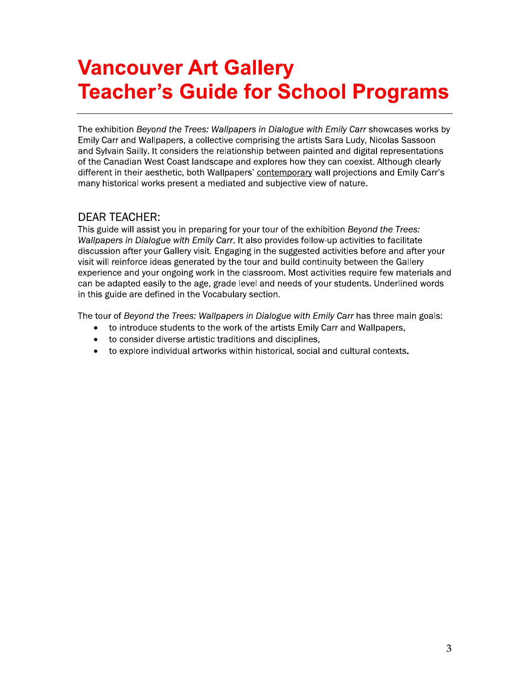# **Vancouver Art Gallery Teacher's Guide for School Programs**

The exhibition Beyond the Trees: Wallpapers in Dialogue with Emily Carr showcases works by Emily Carr and Wallpapers, a collective comprising the artists Sara Ludy, Nicolas Sassoon and Sylvain Sailly. It considers the relationship between painted and digital representations of the Canadian West Coast landscape and explores how they can coexist. Although clearly different in their aesthetic, both Wallpapers' contemporary wall projections and Emily Carr's many historical works present a mediated and subjective view of nature.

### **DEAR TEACHER:**

This guide will assist you in preparing for your tour of the exhibition Beyond the Trees: Wallpapers in Dialogue with Emily Carr. It also provides follow-up activities to facilitate discussion after your Gallery visit. Engaging in the suggested activities before and after your visit will reinforce ideas generated by the tour and build continuity between the Gallery experience and your ongoing work in the classroom. Most activities require few materials and can be adapted easily to the age, grade level and needs of your students. Underlined words in this guide are defined in the Vocabulary section.

The tour of Beyond the Trees: Wallpapers in Dialogue with Emily Carr has three main goals:

- to introduce students to the work of the artists Emily Carr and Wallpapers,
- to consider diverse artistic traditions and disciplines,
- to explore individual artworks within historical, social and cultural contexts.  $\bullet$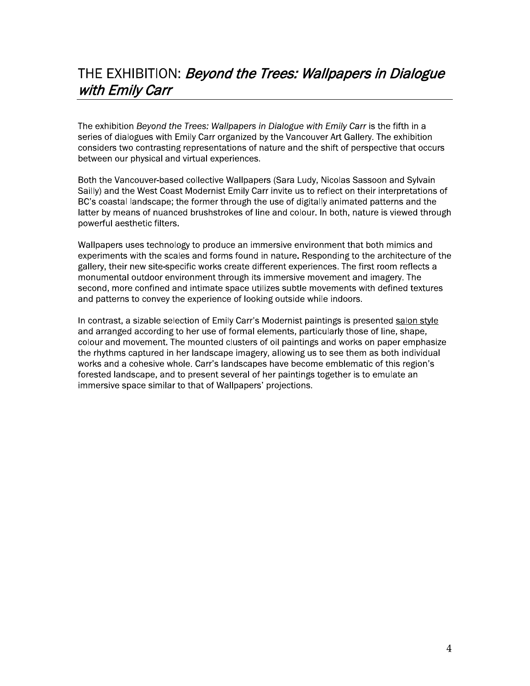### THE EXHIBITION: *Beyond the Trees: Wallpapers in Dialogue* with Emily Carr

The exhibition Beyond the Trees: Wallpapers in Dialogue with Emily Carr is the fifth in a series of dialogues with Emily Carr organized by the Vancouver Art Gallery. The exhibition considers two contrasting representations of nature and the shift of perspective that occurs between our physical and virtual experiences.

Both the Vancouver-based collective Wallpapers (Sara Ludy, Nicolas Sassoon and Sylvain Sailly) and the West Coast Modernist Emily Carr invite us to reflect on their interpretations of BC's coastal landscape; the former through the use of digitally animated patterns and the latter by means of nuanced brushstrokes of line and colour. In both, nature is viewed through powerful aesthetic filters.

Wallpapers uses technology to produce an immersive environment that both mimics and experiments with the scales and forms found in nature. Responding to the architecture of the gallery, their new site-specific works create different experiences. The first room reflects a monumental outdoor environment through its immersive movement and imagery. The second, more confined and intimate space utilizes subtle movements with defined textures and patterns to convey the experience of looking outside while indoors.

In contrast, a sizable selection of Emily Carr's Modernist paintings is presented salon style and arranged according to her use of formal elements, particularly those of line, shape, colour and movement. The mounted clusters of oil paintings and works on paper emphasize the rhythms captured in her landscape imagery, allowing us to see them as both individual works and a cohesive whole. Carr's landscapes have become emblematic of this region's forested landscape, and to present several of her paintings together is to emulate an immersive space similar to that of Wallpapers' projections.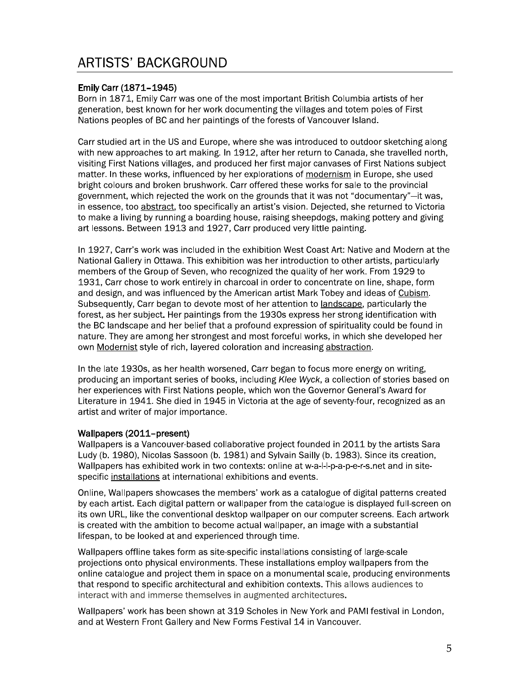### **ARTISTS' BACKGROUND**

### Emily Carr (1871-1945)

Born in 1871, Emily Carr was one of the most important British Columbia artists of her generation, best known for her work documenting the villages and totem poles of First Nations peoples of BC and her paintings of the forests of Vancouver Island.

Carr studied art in the US and Europe, where she was introduced to outdoor sketching along with new approaches to art making. In 1912, after her return to Canada, she travelled north, visiting First Nations villages, and produced her first major canvases of First Nations subject matter. In these works, influenced by her explorations of modernism in Europe, she used bright colours and broken brushwork. Carr offered these works for sale to the provincial government, which rejected the work on the grounds that it was not "documentary"-it was, in essence, too abstract, too specifically an artist's vision. Dejected, she returned to Victoria to make a living by running a boarding house, raising sheepdogs, making pottery and giving art lessons. Between 1913 and 1927, Carr produced very little painting.

In 1927, Carr's work was included in the exhibition West Coast Art: Native and Modern at the National Gallery in Ottawa. This exhibition was her introduction to other artists, particularly members of the Group of Seven, who recognized the quality of her work. From 1929 to 1931, Carr chose to work entirely in charcoal in order to concentrate on line, shape, form and design, and was influenced by the American artist Mark Tobey and ideas of Cubism. Subsequently, Carr began to devote most of her attention to landscape, particularly the forest, as her subject. Her paintings from the 1930s express her strong identification with the BC landscape and her belief that a profound expression of spirituality could be found in nature. They are among her strongest and most forceful works, in which she developed her own Modernist style of rich, layered coloration and increasing abstraction.

In the late 1930s, as her health worsened, Carr began to focus more energy on writing, producing an important series of books, including Klee Wyck, a collection of stories based on her experiences with First Nations people, which won the Governor General's Award for Literature in 1941. She died in 1945 in Victoria at the age of seventy-four, recognized as an artist and writer of major importance.

### Wallpapers (2011-present)

Wallpapers is a Vancouver-based collaborative project founded in 2011 by the artists Sara Ludy (b. 1980), Nicolas Sassoon (b. 1981) and Sylvain Sailly (b. 1983). Since its creation, Wallpapers has exhibited work in two contexts: online at w-a-l-l-p-a-p-e-r-s.net and in sitespecific installations at international exhibitions and events.

Online, Wallpapers showcases the members' work as a catalogue of digital patterns created by each artist. Each digital pattern or wallpaper from the catalogue is displayed full-screen on its own URL, like the conventional desktop wallpaper on our computer screens. Each artwork is created with the ambition to become actual wallpaper, an image with a substantial lifespan, to be looked at and experienced through time.

Wallpapers offline takes form as site-specific installations consisting of large-scale projections onto physical environments. These installations employ wallpapers from the online catalogue and project them in space on a monumental scale, producing environments that respond to specific architectural and exhibition contexts. This allows audiences to interact with and immerse themselves in augmented architectures.

Wallpapers' work has been shown at 319 Scholes in New York and PAMI festival in London, and at Western Front Gallery and New Forms Festival 14 in Vancouver.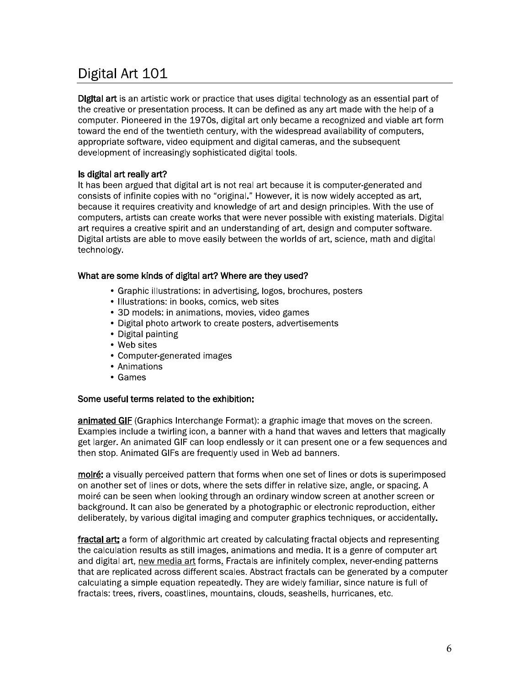### Digital Art 101

**Digital art** is an artistic work or practice that uses digital technology as an essential part of the creative or presentation process. It can be defined as any art made with the help of a computer. Pioneered in the 1970s, digital art only became a recognized and viable art form toward the end of the twentieth century, with the widespread availability of computers, appropriate software, video equipment and digital cameras, and the subsequent development of increasingly sophisticated digital tools.

### Is digital art really art?

It has been argued that digital art is not real art because it is computer-generated and consists of infinite copies with no "original." However, it is now widely accepted as art, because it requires creativity and knowledge of art and design principles. With the use of computers, artists can create works that were never possible with existing materials. Digital art requires a creative spirit and an understanding of art, design and computer software. Digital artists are able to move easily between the worlds of art, science, math and digital technology.

### What are some kinds of digital art? Where are they used?

- Graphic illustrations: in advertising, logos, brochures, posters
- Illustrations: in books, comics, web sites
- 3D models: in animations, movies, video games
- Digital photo artwork to create posters, advertisements
- Digital painting
- Web sites
- Computer-generated images
- Animations
- Games

### Some useful terms related to the exhibition:

animated GIF (Graphics Interchange Format): a graphic image that moves on the screen. Examples include a twirling icon, a banner with a hand that waves and letters that magically get larger. An animated GIF can loop endlessly or it can present one or a few sequences and then stop. Animated GIFs are frequently used in Web ad banners.

moiré: a visually perceived pattern that forms when one set of lines or dots is superimposed on another set of lines or dots, where the sets differ in relative size, angle, or spacing. A moiré can be seen when looking through an ordinary window screen at another screen or background. It can also be generated by a photographic or electronic reproduction, either deliberately, by various digital imaging and computer graphics techniques, or accidentally.

fractal art: a form of algorithmic art created by calculating fractal objects and representing the calculation results as still images, animations and media. It is a genre of computer art and digital art, new media art forms. Fractals are infinitely complex, never-ending patterns that are replicated across different scales. Abstract fractals can be generated by a computer calculating a simple equation repeatedly. They are widely familiar, since nature is full of fractals: trees, rivers, coastlines, mountains, clouds, seashells, hurricanes, etc.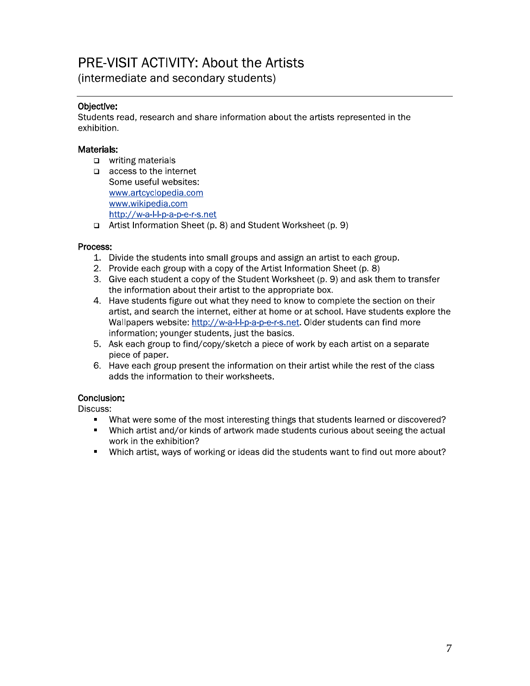## **PRE-VISIT ACTIVITY: About the Artists**

(intermediate and secondary students)

### Objective:

Students read, research and share information about the artists represented in the exhibition.

### Materials:

- $\Box$  writing materials
- $\Box$  access to the internet Some useful websites: www.artcyclopedia.com www.wikipedia.com http://w-a-l-l-p-a-p-e-r-s.net
- Artist Information Sheet (p. 8) and Student Worksheet (p. 9)

### Process:

- 1. Divide the students into small groups and assign an artist to each group.
- 2. Provide each group with a copy of the Artist Information Sheet (p. 8)
- 3. Give each student a copy of the Student Worksheet (p. 9) and ask them to transfer the information about their artist to the appropriate box.
- 4. Have students figure out what they need to know to complete the section on their artist, and search the internet, either at home or at school. Have students explore the Wallpapers website: http://w-a-l-l-p-a-p-e-r-s.net. Older students can find more information; younger students, just the basics.
- 5. Ask each group to find/copy/sketch a piece of work by each artist on a separate piece of paper.
- 6. Have each group present the information on their artist while the rest of the class adds the information to their worksheets.

### Conclusion:

Discuss:

- What were some of the most interesting things that students learned or discovered?  $\blacksquare$
- Which artist and/or kinds of artwork made students curious about seeing the actual  $\blacksquare$ work in the exhibition?
- " Which artist, ways of working or ideas did the students want to find out more about?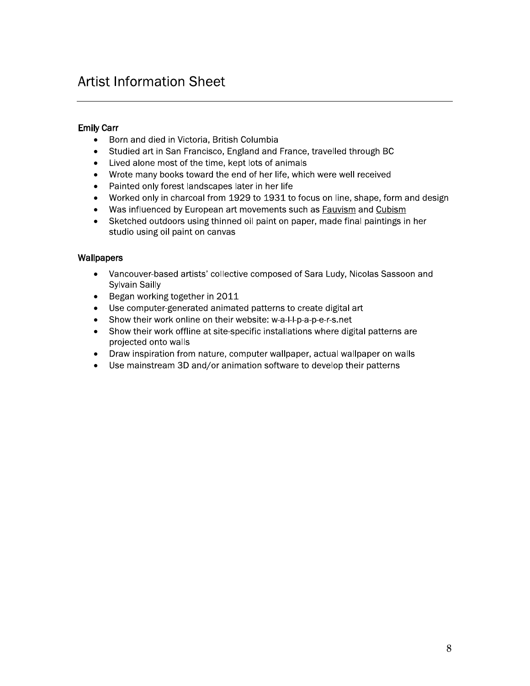### **Artist Information Sheet**

### **Emily Carr**

- Born and died in Victoria, British Columbia  $\bullet$
- Studied art in San Francisco, England and France, travelled through BC  $\bullet$
- Lived alone most of the time, kept lots of animals  $\bullet$
- Wrote many books toward the end of her life, which were well received  $\bullet$
- Painted only forest landscapes later in her life  $\bullet$
- Worked only in charcoal from 1929 to 1931 to focus on line, shape, form and design  $\bullet$
- Was influenced by European art movements such as Fauvism and Cubism  $\bullet$
- $\bullet$ Sketched outdoors using thinned oil paint on paper, made final paintings in her studio using oil paint on canvas

### Wallpapers

- $\bullet$ Vancouver-based artists' collective composed of Sara Ludy, Nicolas Sassoon and **Sylvain Sailly**
- Began working together in 2011  $\bullet$
- Use computer-generated animated patterns to create digital art
- Show their work online on their website: w-a-l-l-p-a-p-e-r-s.net
- Show their work offline at site-specific installations where digital patterns are  $\bullet$ projected onto walls
- Draw inspiration from nature, computer wallpaper, actual wallpaper on walls  $\bullet$
- Use mainstream 3D and/or animation software to develop their patterns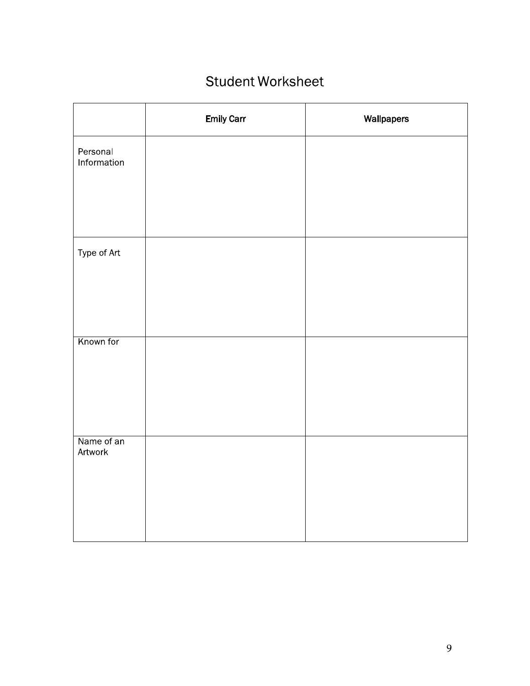### **Student Worksheet**

|                         | <b>Emily Carr</b> | Wallpapers |
|-------------------------|-------------------|------------|
| Personal<br>Information |                   |            |
|                         |                   |            |
|                         |                   |            |
| Type of Art             |                   |            |
|                         |                   |            |
|                         |                   |            |
| Known for               |                   |            |
|                         |                   |            |
|                         |                   |            |
| Name of an<br>Artwork   |                   |            |
|                         |                   |            |
|                         |                   |            |
|                         |                   |            |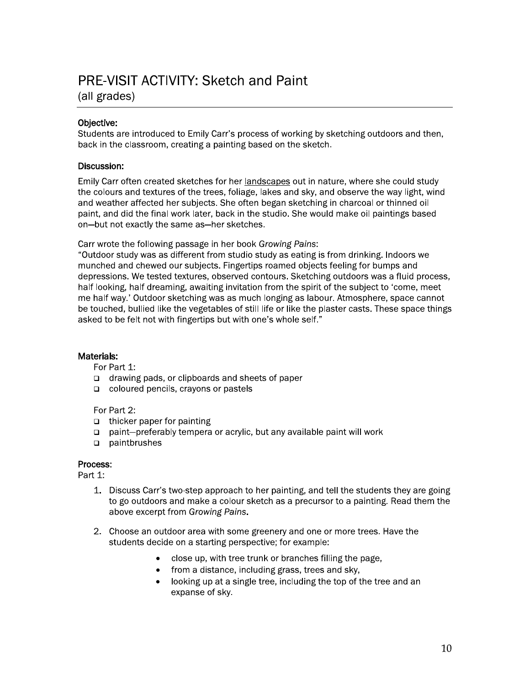### **PRE-VISIT ACTIVITY: Sketch and Paint**

(all grades)

### Objective:

Students are introduced to Emily Carr's process of working by sketching outdoors and then, back in the classroom, creating a painting based on the sketch.

### Discussion:

Emily Carr often created sketches for her landscapes out in nature, where she could study the colours and textures of the trees, foliage, lakes and sky, and observe the way light, wind and weather affected her subjects. She often began sketching in charcoal or thinned oil paint, and did the final work later, back in the studio. She would make oil paintings based on-but not exactly the same as-her sketches.

Carr wrote the following passage in her book Growing Pains:

"Outdoor study was as different from studio study as eating is from drinking. Indoors we munched and chewed our subjects. Fingertips roamed objects feeling for bumps and depressions. We tested textures, observed contours. Sketching outdoors was a fluid process, half looking, half dreaming, awaiting invitation from the spirit of the subject to 'come, meet me half way.' Outdoor sketching was as much longing as labour. Atmosphere, space cannot be touched, bullied like the vegetables of still life or like the plaster casts. These space things asked to be felt not with fingertips but with one's whole self."

### Materials:

For Part 1:

- $\Box$  drawing pads, or clipboards and sheets of paper
- $\Box$  coloured pencils, crayons or pastels

For Part 2:

- $\Box$  thicker paper for painting
- paint—preferably tempera or acrylic, but any available paint will work
- paintbrushes  $\Box$

### Process:

Part 1:

- 1. Discuss Carr's two-step approach to her painting, and tell the students they are going to go outdoors and make a colour sketch as a precursor to a painting. Read them the above excerpt from Growing Pains.
- 2. Choose an outdoor area with some greenery and one or more trees. Have the students decide on a starting perspective; for example:
	- close up, with tree trunk or branches filling the page,
	- from a distance, including grass, trees and sky,
	- looking up at a single tree, including the top of the tree and an  $\bullet$ expanse of sky.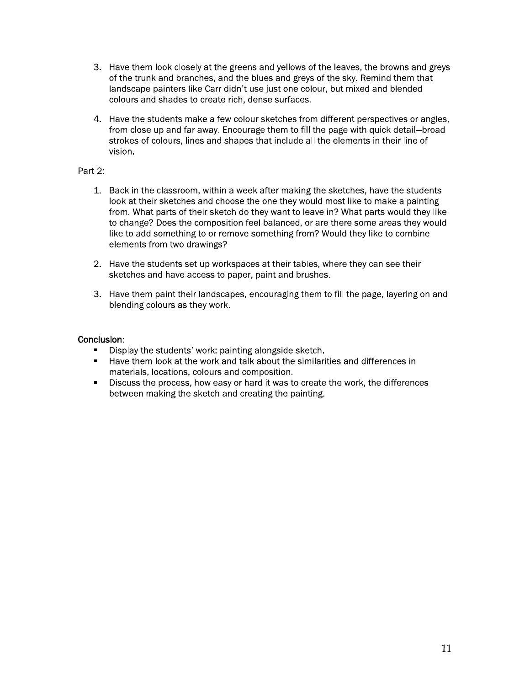- 3. Have them look closely at the greens and yellows of the leaves, the browns and greys of the trunk and branches, and the blues and greys of the sky. Remind them that landscape painters like Carr didn't use just one colour, but mixed and blended colours and shades to create rich, dense surfaces.
- 4. Have the students make a few colour sketches from different perspectives or angles, from close up and far away. Encourage them to fill the page with quick detail-broad strokes of colours, lines and shapes that include all the elements in their line of vision.

### Part 2:

- 1. Back in the classroom, within a week after making the sketches, have the students look at their sketches and choose the one they would most like to make a painting from. What parts of their sketch do they want to leave in? What parts would they like to change? Does the composition feel balanced, or are there some areas they would like to add something to or remove something from? Would they like to combine elements from two drawings?
- 2. Have the students set up workspaces at their tables, where they can see their sketches and have access to paper, paint and brushes.
- 3. Have them paint their landscapes, encouraging them to fill the page, layering on and blending colours as they work.

- Display the students' work: painting alongside sketch.
- " Have them look at the work and talk about the similarities and differences in materials, locations, colours and composition.
- " Discuss the process, how easy or hard it was to create the work, the differences between making the sketch and creating the painting.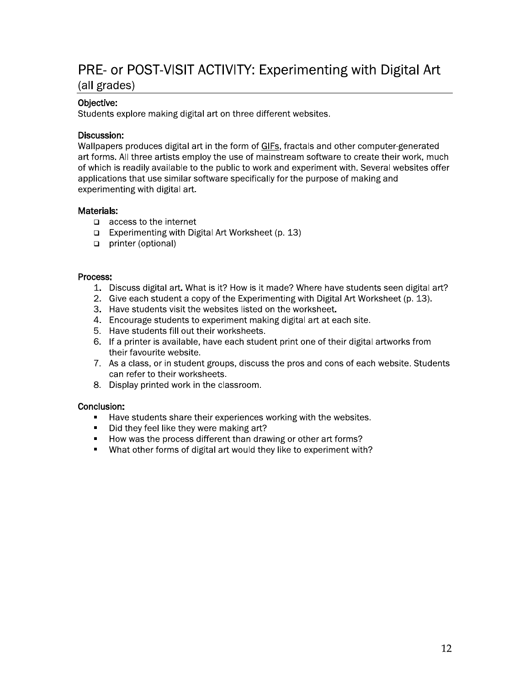### PRE- or POST-VISIT ACTIVITY: Experimenting with Digital Art

(all grades)

### Objective:

Students explore making digital art on three different websites.

### Discussion:

Wallpapers produces digital art in the form of GIFs, fractals and other computer-generated art forms. All three artists employ the use of mainstream software to create their work, much of which is readily available to the public to work and experiment with. Several websites offer applications that use similar software specifically for the purpose of making and experimenting with digital art.

### Materials:

- $\Box$  access to the internet
- $\Box$  Experimenting with Digital Art Worksheet (p. 13)
- printer (optional)

#### Process:

- 1. Discuss digital art. What is it? How is it made? Where have students seen digital art?
- 2. Give each student a copy of the Experimenting with Digital Art Worksheet (p. 13).
- 3. Have students visit the websites listed on the worksheet.
- 4. Encourage students to experiment making digital art at each site.
- 5. Have students fill out their worksheets.
- 6. If a printer is available, have each student print one of their digital artworks from their favourite website.
- 7. As a class, or in student groups, discuss the pros and cons of each website. Students can refer to their worksheets.
- 8. Display printed work in the classroom.

- Have students share their experiences working with the websites.  $\mathbf{r}$
- Did they feel like they were making art?  $\blacksquare$
- How was the process different than drawing or other art forms?
- What other forms of digital art would they like to experiment with?  $\blacksquare$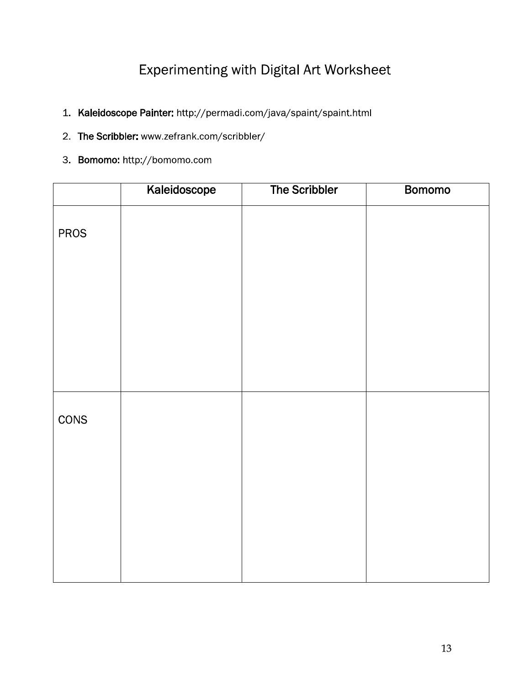### Experimenting with Digital Art Worksheet

- 1. Kaleidoscope Painter: http://permadi.com/java/spaint/spaint.html
- 2. The Scribbler: www.zefrank.com/scribbler/
- 3. Bomomo: http://bomomo.com

|             | Kaleidoscope | The Scribbler | <b>Bomomo</b> |
|-------------|--------------|---------------|---------------|
| <b>PROS</b> |              |               |               |
|             |              |               |               |
|             |              |               |               |
|             |              |               |               |
|             |              |               |               |
| CONS        |              |               |               |
|             |              |               |               |
|             |              |               |               |
|             |              |               |               |
|             |              |               |               |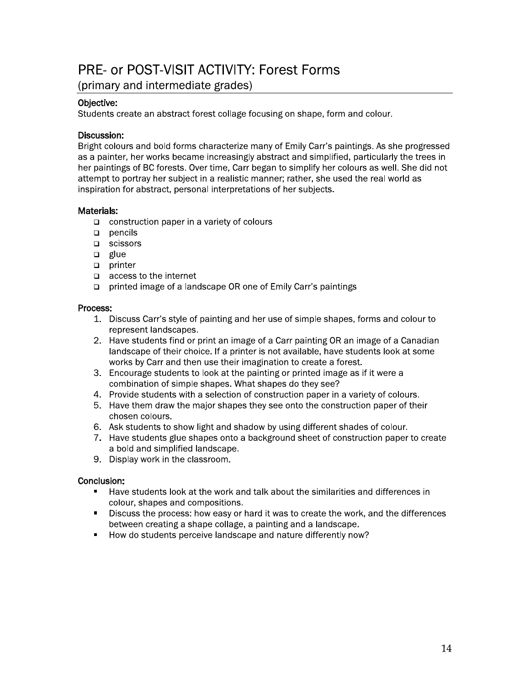### PRE- or POST-VISIT ACTIVITY: Forest Forms

(primary and intermediate grades)

### Objective:

Students create an abstract forest collage focusing on shape, form and colour.

### Discussion:

Bright colours and bold forms characterize many of Emily Carr's paintings. As she progressed as a painter, her works became increasingly abstract and simplified, particularly the trees in her paintings of BC forests. Over time, Carr began to simplify her colours as well. She did not attempt to portray her subject in a realistic manner; rather, she used the real world as inspiration for abstract, personal interpretations of her subjects.

### Materials:

- $\Box$  construction paper in a variety of colours
- $\Box$  pencils
- □ scissors
- $\Box$  glue
- $\Box$  printer
- $\Box$  access to the internet
- printed image of a landscape OR one of Emily Carr's paintings

### Process:

- 1. Discuss Carr's style of painting and her use of simple shapes, forms and colour to represent landscapes.
- 2. Have students find or print an image of a Carr painting OR an image of a Canadian landscape of their choice. If a printer is not available, have students look at some works by Carr and then use their imagination to create a forest.
- 3. Encourage students to look at the painting or printed image as if it were a combination of simple shapes. What shapes do they see?
- 4. Provide students with a selection of construction paper in a variety of colours.
- 5. Have them draw the major shapes they see onto the construction paper of their chosen colours.
- 6. Ask students to show light and shadow by using different shades of colour.
- 7. Have students glue shapes onto a background sheet of construction paper to create a bold and simplified landscape.
- 9. Display work in the classroom.

- Have students look at the work and talk about the similarities and differences in colour, shapes and compositions.
- $\blacksquare$ Discuss the process: how easy or hard it was to create the work, and the differences between creating a shape collage, a painting and a landscape.
- How do students perceive landscape and nature differently now?  $\blacksquare$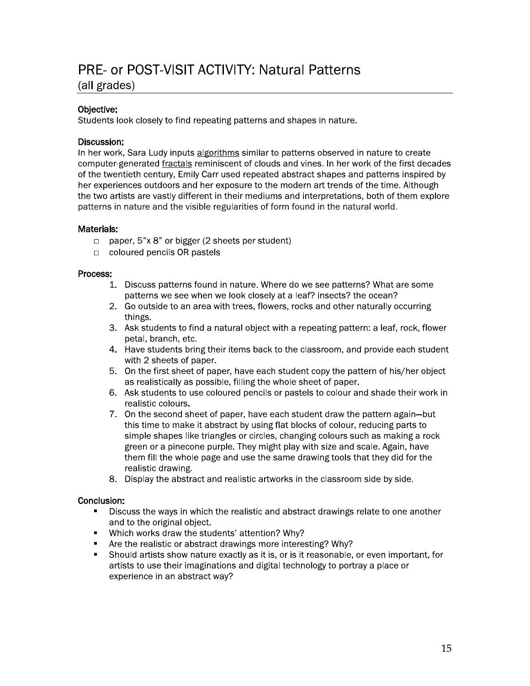### PRE- or POST-VISIT ACTIVITY: Natural Patterns

### (all grades)

### Objective:

Students look closely to find repeating patterns and shapes in nature.

### Discussion:

In her work, Sara Ludy inputs algorithms similar to patterns observed in nature to create computer-generated fractals reminiscent of clouds and vines. In her work of the first decades of the twentieth century, Emily Carr used repeated abstract shapes and patterns inspired by her experiences outdoors and her exposure to the modern art trends of the time. Although the two artists are vastly different in their mediums and interpretations, both of them explore patterns in nature and the visible regularities of form found in the natural world.

### Materials:

- $\Box$  paper, 5"x 8" or bigger (2 sheets per student)
- coloured pencils OR pastels

#### Process:

- 1. Discuss patterns found in nature. Where do we see patterns? What are some patterns we see when we look closely at a leaf? insects? the ocean?
- 2. Go outside to an area with trees, flowers, rocks and other naturally occurring things.
- 3. Ask students to find a natural object with a repeating pattern: a leaf, rock, flower petal, branch, etc.
- 4. Have students bring their items back to the classroom, and provide each student with 2 sheets of paper.
- 5. On the first sheet of paper, have each student copy the pattern of his/her object as realistically as possible, filling the whole sheet of paper.
- 6. Ask students to use coloured pencils or pastels to colour and shade their work in realistic colours.
- 7. On the second sheet of paper, have each student draw the pattern again-but this time to make it abstract by using flat blocks of colour, reducing parts to simple shapes like triangles or circles, changing colours such as making a rock green or a pinecone purple. They might play with size and scale. Again, have them fill the whole page and use the same drawing tools that they did for the realistic drawing.
- 8. Display the abstract and realistic artworks in the classroom side by side.

- Discuss the ways in which the realistic and abstract drawings relate to one another and to the original object.
- Which works draw the students' attention? Why?  $\blacksquare$
- Are the realistic or abstract drawings more interesting? Why?  $\blacksquare$
- Should artists show nature exactly as it is, or is it reasonable, or even important, for artists to use their imaginations and digital technology to portray a place or experience in an abstract way?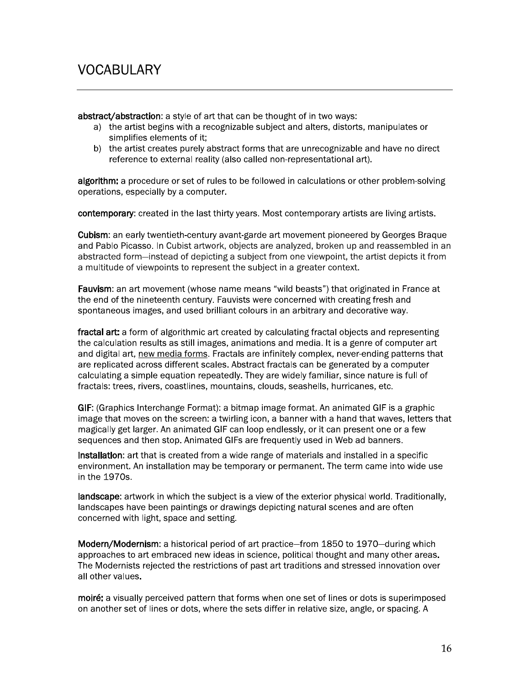abstract/abstraction: a style of art that can be thought of in two ways:

- a) the artist begins with a recognizable subject and alters, distorts, manipulates or simplifies elements of it:
- b) the artist creates purely abstract forms that are unrecognizable and have no direct reference to external reality (also called non-representational art).

algorithm: a procedure or set of rules to be followed in calculations or other problem-solving operations, especially by a computer.

contemporary: created in the last thirty years. Most contemporary artists are living artists.

**Cubism:** an early twentieth-century avant-garde art movement pioneered by Georges Braque and Pablo Picasso. In Cubist artwork, objects are analyzed, broken up and reassembled in an abstracted form-instead of depicting a subject from one viewpoint, the artist depicts it from a multitude of viewpoints to represent the subject in a greater context.

Fauvism: an art movement (whose name means "wild beasts") that originated in France at the end of the nineteenth century. Fauvists were concerned with creating fresh and spontaneous images, and used brilliant colours in an arbitrary and decorative way.

fractal art: a form of algorithmic art created by calculating fractal objects and representing the calculation results as still images, animations and media. It is a genre of computer art and digital art, new media forms. Fractals are infinitely complex, never-ending patterns that are replicated across different scales. Abstract fractals can be generated by a computer calculating a simple equation repeatedly. They are widely familiar, since nature is full of fractals: trees, rivers, coastlines, mountains, clouds, seashells, hurricanes, etc.

GIF: (Graphics Interchange Format): a bitmap image format. An animated GIF is a graphic image that moves on the screen: a twirling icon, a banner with a hand that waves, letters that magically get larger. An animated GIF can loop endlessly, or it can present one or a few sequences and then stop. Animated GIFs are frequently used in Web ad banners.

installation: art that is created from a wide range of materials and installed in a specific environment. An installation may be temporary or permanent. The term came into wide use in the 1970s.

landscape: artwork in which the subject is a view of the exterior physical world. Traditionally, landscapes have been paintings or drawings depicting natural scenes and are often concerned with light, space and setting.

Modern/Modernism: a historical period of art practice–from 1850 to 1970–during which approaches to art embraced new ideas in science, political thought and many other areas. The Modernists rejected the restrictions of past art traditions and stressed innovation over all other values.

moiré: a visually perceived pattern that forms when one set of lines or dots is superimposed on another set of lines or dots, where the sets differ in relative size, angle, or spacing. A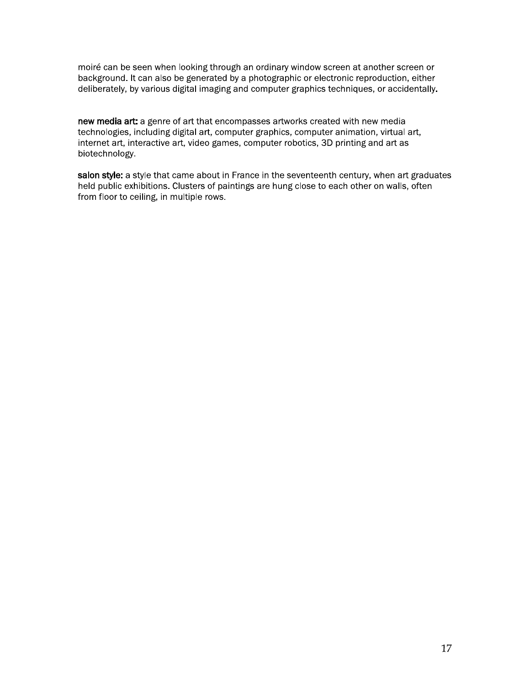moiré can be seen when looking through an ordinary window screen at another screen or background. It can also be generated by a photographic or electronic reproduction, either deliberately, by various digital imaging and computer graphics techniques, or accidentally.

new media art: a genre of art that encompasses artworks created with new media technologies, including digital art, computer graphics, computer animation, virtual art, internet art, interactive art, video games, computer robotics, 3D printing and art as biotechnology.

salon style: a style that came about in France in the seventeenth century, when art graduates held public exhibitions. Clusters of paintings are hung close to each other on walls, often from floor to ceiling, in multiple rows.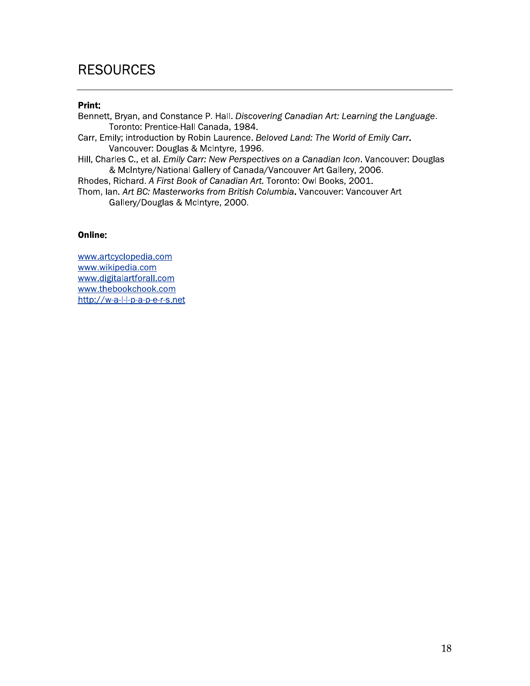### **RESOURCES**

### Print:

Bennett, Bryan, and Constance P. Hall. Discovering Canadian Art: Learning the Language. Toronto: Prentice-Hall Canada, 1984.

Carr, Emily; introduction by Robin Laurence. Beloved Land: The World of Emily Carr. Vancouver: Douglas & McIntyre, 1996.

Hill, Charles C., et al. Emily Carr: New Perspectives on a Canadian Icon. Vancouver: Douglas & McIntyre/National Gallery of Canada/Vancouver Art Gallery, 2006.

Rhodes, Richard. A First Book of Canadian Art. Toronto: Owl Books, 2001.

Thom, Ian, Art BC: Masterworks from British Columbia. Vancouver: Vancouver Art Gallery/Douglas & McIntyre, 2000.

### Online:

www.artcyclopedia.com www.wikipedia.com www.digitalartforall.com www.thebookchook.com http://w-a-l-l-p-a-p-e-r-s.net